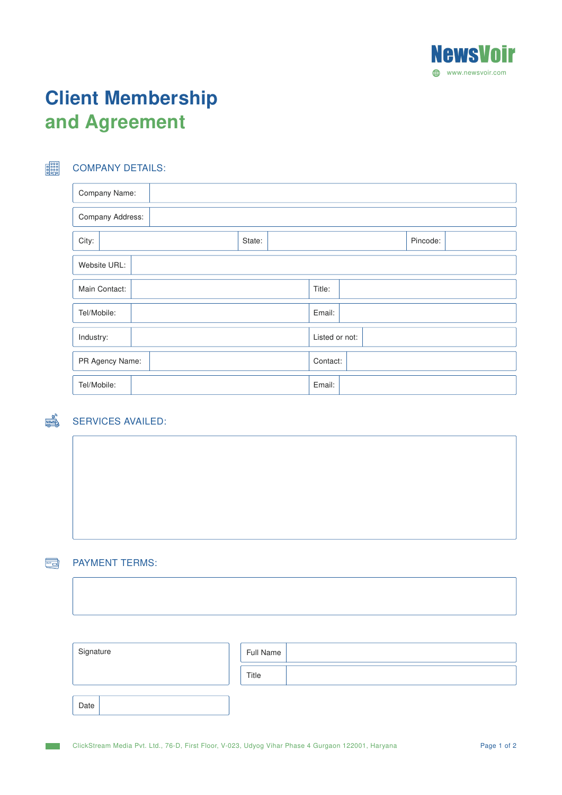

# Client Membership and Agreement

## COMPANY DETAILS:

E

 $\frac{NENSE}{K}$ 

| Company Name:    |        |                |  |  |  |
|------------------|--------|----------------|--|--|--|
| Company Address: |        |                |  |  |  |
| City:            | State: | Pincode:       |  |  |  |
| Website URL:     |        |                |  |  |  |
| Main Contact:    |        | Title:         |  |  |  |
| Tel/Mobile:      |        | Email:         |  |  |  |
| Industry:        |        | Listed or not: |  |  |  |
| PR Agency Name:  |        | Contact:       |  |  |  |
| Tel/Mobile:      |        | Email:         |  |  |  |

## SERVICES AVAILED:

#### $\blacksquare$ PAYMENT TERMS:

| Signature | Full Name |
|-----------|-----------|
|           | Title     |
| Date      |           |